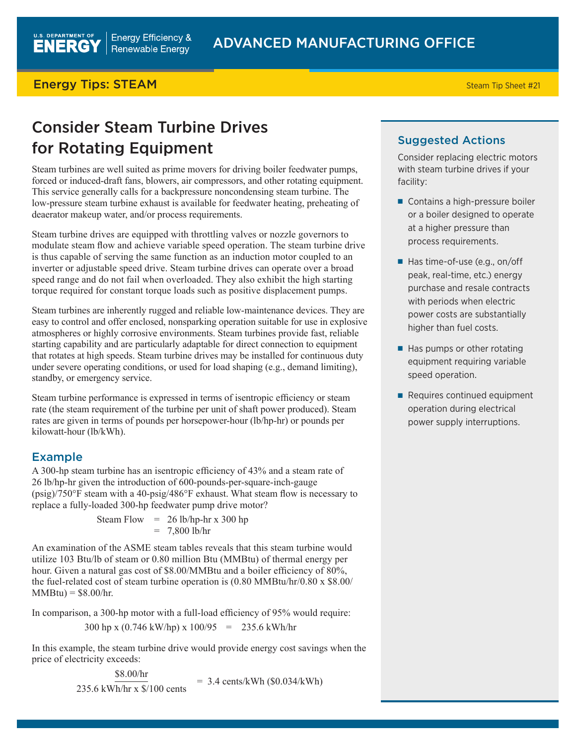### **Energy Tips: STEAM** Steam Tip Sheet #21

## Consider Steam Turbine Drives for Rotating Equipment

Steam turbines are well suited as prime movers for driving boiler feedwater pumps, forced or induced-draft fans, blowers, air compressors, and other rotating equipment. This service generally calls for a backpressure noncondensing steam turbine. The low-pressure steam turbine exhaust is available for feedwater heating, preheating of deaerator makeup water, and/or process requirements.

Steam turbine drives are equipped with throttling valves or nozzle governors to modulate steam flow and achieve variable speed operation. The steam turbine drive is thus capable of serving the same function as an induction motor coupled to an inverter or adjustable speed drive. Steam turbine drives can operate over a broad speed range and do not fail when overloaded. They also exhibit the high starting torque required for constant torque loads such as positive displacement pumps.

Steam turbines are inherently rugged and reliable low-maintenance devices. They are easy to control and offer enclosed, nonsparking operation suitable for use in explosive atmospheres or highly corrosive environments. Steam turbines provide fast, reliable starting capability and are particularly adaptable for direct connection to equipment that rotates at high speeds. Steam turbine drives may be installed for continuous duty under severe operating conditions, or used for load shaping (e.g., demand limiting), standby, or emergency service.

Steam turbine performance is expressed in terms of isentropic efficiency or steam rate (the steam requirement of the turbine per unit of shaft power produced). Steam rates are given in terms of pounds per horsepower-hour (lb/hp-hr) or pounds per kilowatt-hour (lb/kWh).

#### Example

A 300-hp steam turbine has an isentropic efficiency of 43% and a steam rate of 26 lb/hp-hr given the introduction of 600-pounds-per-square-inch-gauge (psig)/750°F steam with a 40-psig/486°F exhaust. What steam flow is necessary to replace a fully-loaded 300-hp feedwater pump drive motor?

> Steam Flow  $= 26$  lb/hp-hr x 300 hp  $= 7,800$  lb/hr

An examination of the ASME steam tables reveals that this steam turbine would utilize 103 Btu/lb of steam or 0.80 million Btu (MMBtu) of thermal energy per hour. Given a natural gas cost of \$8.00/MMBtu and a boiler efficiency of 80%, the fuel-related cost of steam turbine operation is (0.80 MMBtu/hr/0.80 x \$8.00/  $MMBtu$ ) = \$8.00/hr.

In comparison, a 300-hp motor with a full-load efficiency of 95% would require:

$$
300 \text{ hp} \times (0.746 \text{ kW/hp}) \times 100/95 = 235.6 \text{ kWh/hr}
$$

In this example, the steam turbine drive would provide energy cost savings when the price of electricity exceeds:

 $\frac{$8.00/hr}{235.6 \text{ kWh/hr x $100 cents}}$  = 3.4 cents/kWh (\$0.034/kWh)

#### Suggested Actions

Consider replacing electric motors with steam turbine drives if your facility:

- Contains a high-pressure boiler or a boiler designed to operate at a higher pressure than process requirements.
- Has time-of-use (e.g., on/off peak, real-time, etc.) energy purchase and resale contracts with periods when electric power costs are substantially higher than fuel costs.
- Has pumps or other rotating equipment requiring variable speed operation.
- Requires continued equipment operation during electrical power supply interruptions.